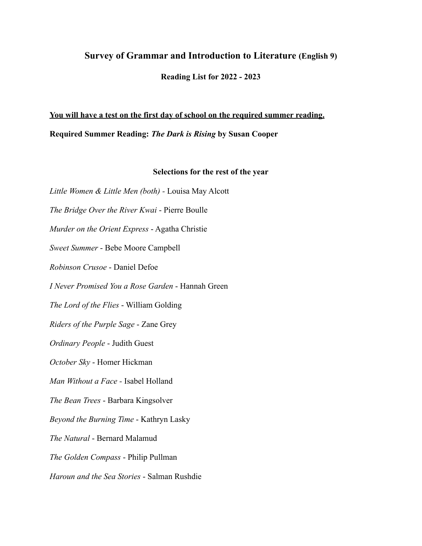## **Survey of Grammar and Introduction to Literature (English 9)**

**Reading List for 2022 - 2023**

## **You will have a test on the first day of school on the required summer reading. Required Summer Reading:** *The Dark is Rising* **by Susan Cooper**

## **Selections for the rest of the year**

*Little Women & Little Men (both) -* Louisa May Alcott *The Bridge Over the River Kwai* - Pierre Boulle *Murder on the Orient Express* - Agatha Christie *Sweet Summer* - Bebe Moore Campbell *Robinson Crusoe* - Daniel Defoe *I Never Promised You a Rose Garden* - Hannah Green *The Lord of the Flies* - William Golding *Riders of the Purple Sage* - Zane Grey *Ordinary People* - Judith Guest *October Sky* - Homer Hickman *Man Without a Face -* Isabel Holland *The Bean Trees* - Barbara Kingsolver *Beyond the Burning Time* - Kathryn Lasky *The Natural* - Bernard Malamud *The Golden Compass* - Philip Pullman *Haroun and the Sea Stories* - Salman Rushdie